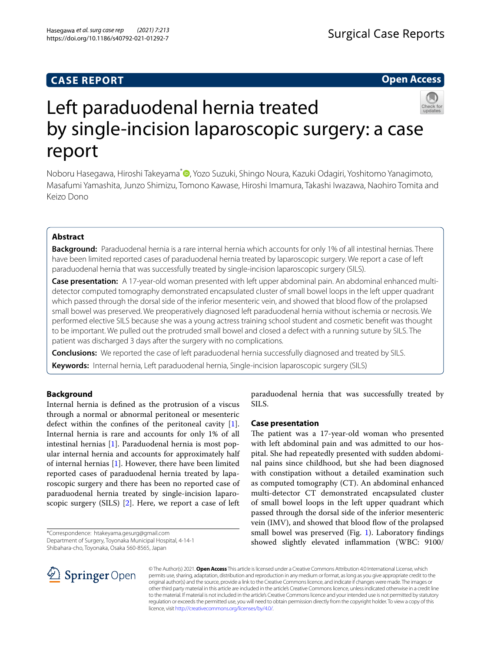## **CASE REPORT**

**Open Access**

# Left paraduodenal hernia treated by single-incision laparoscopic surgery: a case report

Noboru Hasegawa, Hiroshi Takeyama<sup>[\\*](http://orcid.org/0000-0003-1672-8349)</sup> , Yozo Suzuki, Shingo Noura, Kazuki Odagiri, Yoshitomo Yanagimoto, Masafumi Yamashita, Junzo Shimizu, Tomono Kawase, Hiroshi Imamura, Takashi Iwazawa, Naohiro Tomita and Keizo Dono

## **Abstract**

**Background:** Paraduodenal hernia is a rare internal hernia which accounts for only 1% of all intestinal hernias. There have been limited reported cases of paraduodenal hernia treated by laparoscopic surgery. We report a case of left paraduodenal hernia that was successfully treated by single-incision laparoscopic surgery (SILS).

**Case presentation:** A 17-year-old woman presented with left upper abdominal pain. An abdominal enhanced multidetector computed tomography demonstrated encapsulated cluster of small bowel loops in the left upper quadrant which passed through the dorsal side of the inferior mesenteric vein, and showed that blood fow of the prolapsed small bowel was preserved. We preoperatively diagnosed left paraduodenal hernia without ischemia or necrosis. We performed elective SILS because she was a young actress training school student and cosmetic beneft was thought to be important. We pulled out the protruded small bowel and closed a defect with a running suture by SILS. The patient was discharged 3 days after the surgery with no complications.

**Conclusions:** We reported the case of left paraduodenal hernia successfully diagnosed and treated by SILS. **Keywords:** Internal hernia, Left paraduodenal hernia, Single-incision laparoscopic surgery (SILS)

## **Background**

Internal hernia is defned as the protrusion of a viscus through a normal or abnormal peritoneal or mesenteric defect within the confnes of the peritoneal cavity [\[1](#page-3-0)]. Internal hernia is rare and accounts for only 1% of all intestinal hernias [[1](#page-3-0)]. Paraduodenal hernia is most popular internal hernia and accounts for approximately half of internal hernias [[1\]](#page-3-0). However, there have been limited reported cases of paraduodenal hernia treated by laparoscopic surgery and there has been no reported case of paraduodenal hernia treated by single-incision laparoscopic surgery (SILS) [\[2](#page-3-1)]. Here, we report a case of left

\*Correspondence: htakeyama.gesurg@gmail.com Department of Surgery, Toyonaka Municipal Hospital, 4-14-1

Shibahara-cho, Toyonaka, Osaka 560-8565, Japan

paraduodenal hernia that was successfully treated by SILS.

## **Case presentation**

The patient was a 17-year-old woman who presented with left abdominal pain and was admitted to our hospital. She had repeatedly presented with sudden abdominal pains since childhood, but she had been diagnosed with constipation without a detailed examination such as computed tomography (CT). An abdominal enhanced multi-detector CT demonstrated encapsulated cluster of small bowel loops in the left upper quadrant which passed through the dorsal side of the inferior mesenteric vein (IMV), and showed that blood flow of the prolapsed small bowel was preserved (Fig. [1](#page-1-0)). Laboratory findings showed slightly elevated infammation (WBC: 9100/



© The Author(s) 2021. **Open Access** This article is licensed under a Creative Commons Attribution 4.0 International License, which permits use, sharing, adaptation, distribution and reproduction in any medium or format, as long as you give appropriate credit to the original author(s) and the source, provide a link to the Creative Commons licence, and indicate if changes were made. The images or other third party material in this article are included in the article's Creative Commons licence, unless indicated otherwise in a credit line to the material. If material is not included in the article's Creative Commons licence and your intended use is not permitted by statutory regulation or exceeds the permitted use, you will need to obtain permission directly from the copyright holder. To view a copy of this licence, visit [http://creativecommons.org/licenses/by/4.0/.](http://creativecommons.org/licenses/by/4.0/)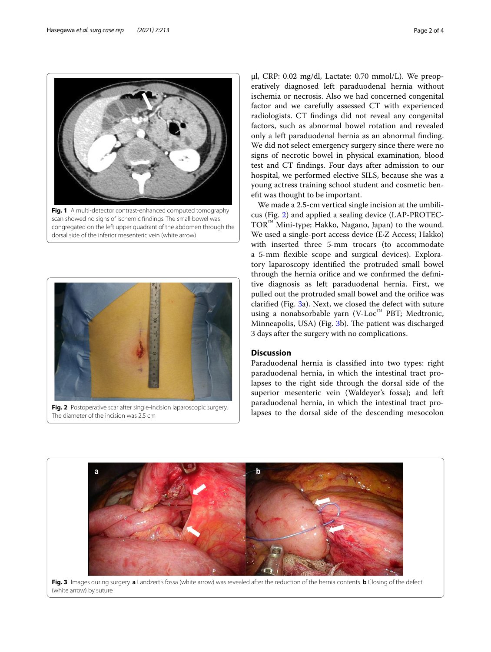

<span id="page-1-0"></span>congregated on the left upper quadrant of the abdomen through the dorsal side of the inferior mesenteric vein (white arrow)



**Fig. 2** Postoperative scar after single-incision laparoscopic surgery. The diameter of the incision was 2.5 cm

μl, CRP: 0.02 mg/dl, Lactate: 0.70 mmol/L). We preoperatively diagnosed left paraduodenal hernia without ischemia or necrosis. Also we had concerned congenital factor and we carefully assessed CT with experienced radiologists. CT fndings did not reveal any congenital factors, such as abnormal bowel rotation and revealed only a left paraduodenal hernia as an abnormal fnding. We did not select emergency surgery since there were no signs of necrotic bowel in physical examination, blood test and CT fndings. Four days after admission to our hospital, we performed elective SILS, because she was a young actress training school student and cosmetic beneft was thought to be important.

We made a 2.5-cm vertical single incision at the umbilicus (Fig. [2](#page-1-1)) and applied a sealing device (LAP-PROTEC-TOR™ Mini-type; Hakko, Nagano, Japan) to the wound. We used a single-port access device (E∙Z Access; Hakko) with inserted three 5-mm trocars (to accommodate a 5-mm fexible scope and surgical devices). Exploratory laparoscopy identifed the protruded small bowel through the hernia orifce and we confrmed the defnitive diagnosis as left paraduodenal hernia. First, we pulled out the protruded small bowel and the orifce was clarifed (Fig. [3a](#page-1-2)). Next, we closed the defect with suture using a nonabsorbable yarn (V-Loc™ PBT; Medtronic, Minneapolis, USA) (Fig. [3](#page-1-2)b). The patient was discharged 3 days after the surgery with no complications.

## **Discussion**

Paraduodenal hernia is classifed into two types: right paraduodenal hernia, in which the intestinal tract prolapses to the right side through the dorsal side of the superior mesenteric vein (Waldeyer's fossa); and left paraduodenal hernia, in which the intestinal tract prolapses to the dorsal side of the descending mesocolon

<span id="page-1-2"></span><span id="page-1-1"></span>

**Fig. 3** Images during surgery. **a** Landzert's fossa (white arrow) was revealed after the reduction of the hernia contents. **b** Closing of the defect (white arrow) by suture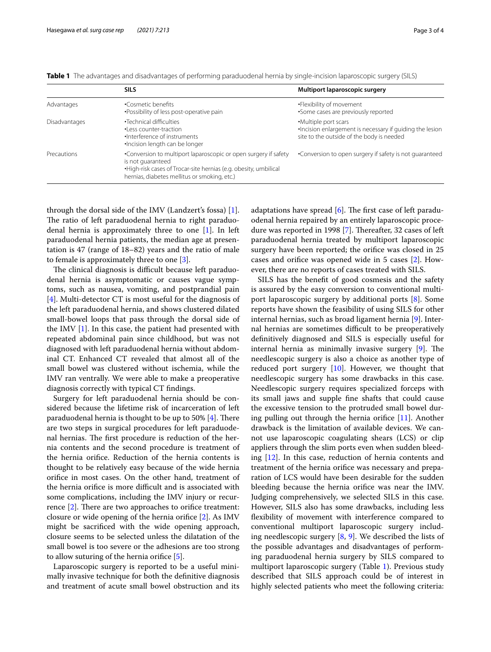|                      | <b>SILS</b>                                                                                                                                                                                               | Multiport laparoscopic surgery                                                                                                 |
|----------------------|-----------------------------------------------------------------------------------------------------------------------------------------------------------------------------------------------------------|--------------------------------------------------------------------------------------------------------------------------------|
| Advantages           | •Cosmetic benefits<br>•Possibility of less post-operative pain                                                                                                                                            | •Flexibility of movement<br>•Some cases are previously reported                                                                |
| <b>Disadvantages</b> | •Technical difficulties<br>·Less counter-traction<br>•Interference of instruments<br>.Incision length can be longer                                                                                       | •Multiple port scars<br>. Incision enlargement is necessary if quiding the lesion<br>site to the outside of the body is needed |
| Precautions          | •Conversion to multiport laparoscopic or open surgery if safety<br>is not quaranteed<br>. High-risk cases of Trocar-site hernias (e.g. obesity, umbilical<br>hernias, diabetes mellitus or smoking, etc.) | •Conversion to open surgery if safety is not quaranteed                                                                        |

<span id="page-2-0"></span>**Table 1** The advantages and disadvantages of performing paraduodenal hernia by single-incision laparoscopic surgery (SILS)

through the dorsal side of the IMV (Landzert's fossa) [\[1](#page-3-0)]. The ratio of left paraduodenal hernia to right paraduodenal hernia is approximately three to one [\[1](#page-3-0)]. In left paraduodenal hernia patients, the median age at presentation is 47 (range of 18–82) years and the ratio of male to female is approximately three to one [[3\]](#page-3-2).

The clinical diagnosis is difficult because left paraduodenal hernia is asymptomatic or causes vague symptoms, such as nausea, vomiting, and postprandial pain [[4\]](#page-3-3). Multi-detector CT is most useful for the diagnosis of the left paraduodenal hernia, and shows clustered dilated small-bowel loops that pass through the dorsal side of the IMV [\[1\]](#page-3-0). In this case, the patient had presented with repeated abdominal pain since childhood, but was not diagnosed with left paraduodenal hernia without abdominal CT. Enhanced CT revealed that almost all of the small bowel was clustered without ischemia, while the IMV ran ventrally. We were able to make a preoperative diagnosis correctly with typical CT fndings.

Surgery for left paraduodenal hernia should be considered because the lifetime risk of incarceration of left paraduodenal hernia is thought to be up to 50%  $[4]$  $[4]$ . There are two steps in surgical procedures for left paraduodenal hernias. The first procedure is reduction of the hernia contents and the second procedure is treatment of the hernia orifce. Reduction of the hernia contents is thought to be relatively easy because of the wide hernia orifce in most cases. On the other hand, treatment of the hernia orifice is more difficult and is associated with some complications, including the IMV injury or recurrence  $[2]$  $[2]$ . There are two approaches to orifice treatment: closure or wide opening of the hernia orifce [[2\]](#page-3-1). As IMV might be sacrifced with the wide opening approach, closure seems to be selected unless the dilatation of the small bowel is too severe or the adhesions are too strong to allow suturing of the hernia orifce [\[5](#page-3-4)].

Laparoscopic surgery is reported to be a useful minimally invasive technique for both the defnitive diagnosis and treatment of acute small bowel obstruction and its

adaptations have spread  $[6]$  $[6]$ . The first case of left paraduodenal hernia repaired by an entirely laparoscopic proce-dure was reported in 1998 [[7\]](#page-3-6). Thereafter, 32 cases of left paraduodenal hernia treated by multiport laparoscopic surgery have been reported; the orifice was closed in 25 cases and orifce was opened wide in 5 cases [\[2](#page-3-1)]. However, there are no reports of cases treated with SILS.

SILS has the beneft of good cosmesis and the safety is assured by the easy conversion to conventional multiport laparoscopic surgery by additional ports [[8\]](#page-3-7). Some reports have shown the feasibility of using SILS for other internal hernias, such as broad ligament hernia [\[9](#page-3-8)]. Internal hernias are sometimes difficult to be preoperatively defnitively diagnosed and SILS is especially useful for internal hernia as minimally invasive surgery  $[9]$  $[9]$ . The needlescopic surgery is also a choice as another type of reduced port surgery  $[10]$  $[10]$ . However, we thought that needlescopic surgery has some drawbacks in this case. Needlescopic surgery requires specialized forceps with its small jaws and supple fne shafts that could cause the excessive tension to the protruded small bowel during pulling out through the hernia orifice  $[11]$  $[11]$ . Another drawback is the limitation of available devices. We cannot use laparoscopic coagulating shears (LCS) or clip appliers through the slim ports even when sudden bleeding [[12](#page-3-11)]. In this case, reduction of hernia contents and treatment of the hernia orifce was necessary and preparation of LCS would have been desirable for the sudden bleeding because the hernia orifce was near the IMV. Judging comprehensively, we selected SILS in this case. However, SILS also has some drawbacks, including less fexibility of movement with interference compared to conventional multiport laparoscopic surgery including needlescopic surgery [[8,](#page-3-7) [9\]](#page-3-8). We described the lists of the possible advantages and disadvantages of performing paraduodenal hernia surgery by SILS compared to multiport laparoscopic surgery (Table [1](#page-2-0)). Previous study described that SILS approach could be of interest in highly selected patients who meet the following criteria: